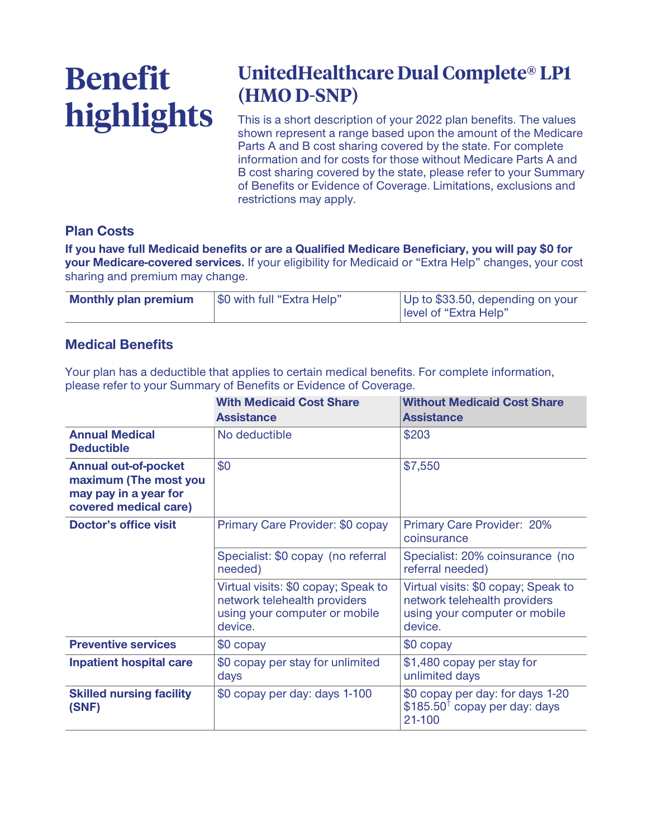# **Benefit highlights**

## **UnitedHealthcare Dual Complete® LP1 (HMO D-SNP)**

**This is a short description of your 2022 plan benefits. The values shown represent a range based upon the amount of the Medicare Parts A and B cost sharing covered by the state. For complete information and for costs for those without Medicare Parts A and B cost sharing covered by the state, please refer to your Summary of Benefits or Evidence of Coverage. Limitations, exclusions and restrictions may apply.**

#### **Plan Costs**

**If you have full Medicaid benefits or are a Qualified Medicare Beneficiary, you will pay \$0 for your Medicare-covered services. If your eligibility for Medicaid or "Extra Help" changes, your cost sharing and premium may change.**

| \$0 with full "Extra Help"  | Up to \$33.50, depending on your |
|-----------------------------|----------------------------------|
| <b>Monthly plan premium</b> | level of "Extra Help"            |

#### **Medical Benefits**

**Your plan has a deductible that applies to certain medical benefits. For complete information, please refer to your Summary of Benefits or Evidence of Coverage.**

|                                                                                                        | <b>With Medicaid Cost Share</b><br><b>Assistance</b>                                                            | <b>Without Medicaid Cost Share</b><br><b>Assistance</b>                                                         |
|--------------------------------------------------------------------------------------------------------|-----------------------------------------------------------------------------------------------------------------|-----------------------------------------------------------------------------------------------------------------|
| <b>Annual Medical</b><br><b>Deductible</b>                                                             | No deductible                                                                                                   | \$203                                                                                                           |
| <b>Annual out-of-pocket</b><br>maximum (The most you<br>may pay in a year for<br>covered medical care) | \$0                                                                                                             | \$7,550                                                                                                         |
| <b>Doctor's office visit</b>                                                                           | Primary Care Provider: \$0 copay                                                                                | Primary Care Provider: 20%<br>coinsurance                                                                       |
|                                                                                                        | Specialist: \$0 copay (no referral<br>needed)                                                                   | Specialist: 20% coinsurance (no<br>referral needed)                                                             |
|                                                                                                        | Virtual visits: \$0 copay; Speak to<br>network telehealth providers<br>using your computer or mobile<br>device. | Virtual visits: \$0 copay; Speak to<br>network telehealth providers<br>using your computer or mobile<br>device. |
| <b>Preventive services</b>                                                                             | \$0 copay                                                                                                       | \$0 copay                                                                                                       |
| <b>Inpatient hospital care</b>                                                                         | \$0 copay per stay for unlimited<br>days                                                                        | \$1,480 copay per stay for<br>unlimited days                                                                    |
| <b>Skilled nursing facility</b><br>(SNF)                                                               | \$0 copay per day: days 1-100                                                                                   | \$0 copay per day: for days 1-20<br>$$185.50†$ copay per day: days<br>21-100                                    |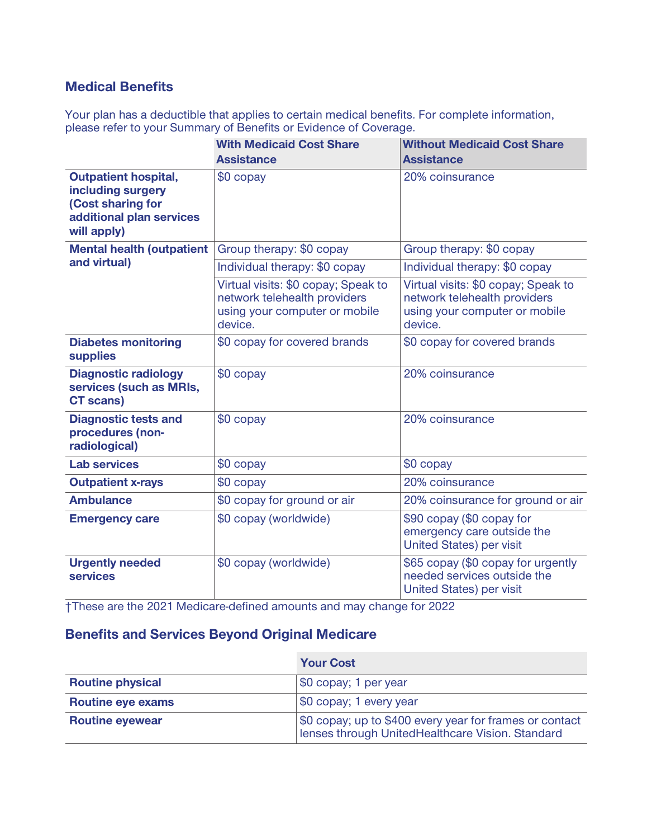#### **Medical Benefits**

**Your plan has a deductible that applies to certain medical benefits. For complete information, please refer to your Summary of Benefits or Evidence of Coverage.**

|                                                                                                                  | <b>With Medicaid Cost Share</b><br><b>Assistance</b>                                                            | <b>Without Medicaid Cost Share</b><br><b>Assistance</b>                                                         |
|------------------------------------------------------------------------------------------------------------------|-----------------------------------------------------------------------------------------------------------------|-----------------------------------------------------------------------------------------------------------------|
| <b>Outpatient hospital,</b><br>including surgery<br>(Cost sharing for<br>additional plan services<br>will apply) | \$0 copay                                                                                                       | 20% coinsurance                                                                                                 |
| <b>Mental health (outpatient</b>                                                                                 | Group therapy: \$0 copay                                                                                        | Group therapy: \$0 copay                                                                                        |
| and virtual)                                                                                                     | Individual therapy: \$0 copay                                                                                   | Individual therapy: \$0 copay                                                                                   |
|                                                                                                                  | Virtual visits: \$0 copay; Speak to<br>network telehealth providers<br>using your computer or mobile<br>device. | Virtual visits: \$0 copay; Speak to<br>network telehealth providers<br>using your computer or mobile<br>device. |
| <b>Diabetes monitoring</b><br><b>supplies</b>                                                                    | \$0 copay for covered brands                                                                                    | \$0 copay for covered brands                                                                                    |
| <b>Diagnostic radiology</b><br>services (such as MRIs,<br><b>CT</b> scans)                                       | \$0 copay                                                                                                       | 20% coinsurance                                                                                                 |
| <b>Diagnostic tests and</b><br>procedures (non-<br>radiological)                                                 | $$0$ copay                                                                                                      | 20% coinsurance                                                                                                 |
| <b>Lab services</b>                                                                                              | \$0 copay                                                                                                       | $$0$ copay                                                                                                      |
| <b>Outpatient x-rays</b>                                                                                         | \$0 copay                                                                                                       | 20% coinsurance                                                                                                 |
| <b>Ambulance</b>                                                                                                 | \$0 copay for ground or air                                                                                     | 20% coinsurance for ground or air                                                                               |
| <b>Emergency care</b>                                                                                            | \$0 copay (worldwide)                                                                                           | \$90 copay (\$0 copay for<br>emergency care outside the<br>United States) per visit                             |
| <b>Urgently needed</b><br><b>services</b>                                                                        | \$0 copay (worldwide)                                                                                           | \$65 copay (\$0 copay for urgently<br>needed services outside the<br><b>United States) per visit</b>            |

**†These are the 2021 Medicare-defined amounts and may change for 2022**

#### **Benefits and Services Beyond Original Medicare**

|                          | <b>Your Cost</b>                                                                                            |
|--------------------------|-------------------------------------------------------------------------------------------------------------|
| <b>Routine physical</b>  | \$0 copay; 1 per year                                                                                       |
| <b>Routine eye exams</b> | \$0 copay; 1 every year                                                                                     |
| <b>Routine eyewear</b>   | \$0 copay; up to \$400 every year for frames or contact<br>Ienses through UnitedHealthcare Vision. Standard |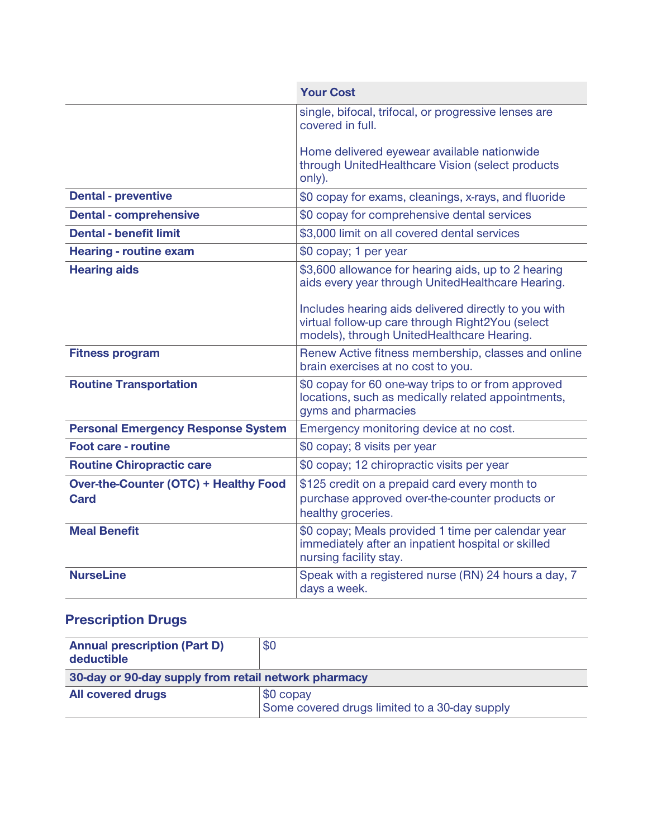|                                                             | <b>Your Cost</b>                                                                                                                                                                                                     |
|-------------------------------------------------------------|----------------------------------------------------------------------------------------------------------------------------------------------------------------------------------------------------------------------|
|                                                             | single, bifocal, trifocal, or progressive lenses are<br>covered in full.                                                                                                                                             |
|                                                             | Home delivered eyewear available nationwide<br>through UnitedHealthcare Vision (select products<br>only).                                                                                                            |
| <b>Dental - preventive</b>                                  | \$0 copay for exams, cleanings, x-rays, and fluoride                                                                                                                                                                 |
| <b>Dental - comprehensive</b>                               | \$0 copay for comprehensive dental services                                                                                                                                                                          |
| <b>Dental - benefit limit</b>                               | \$3,000 limit on all covered dental services                                                                                                                                                                         |
| <b>Hearing - routine exam</b>                               | \$0 copay; 1 per year                                                                                                                                                                                                |
| <b>Hearing aids</b>                                         | \$3,600 allowance for hearing aids, up to 2 hearing<br>aids every year through UnitedHealthcare Hearing.<br>Includes hearing aids delivered directly to you with<br>virtual follow-up care through Right2You (select |
|                                                             | models), through UnitedHealthcare Hearing.                                                                                                                                                                           |
| <b>Fitness program</b>                                      | Renew Active fitness membership, classes and online<br>brain exercises at no cost to you.                                                                                                                            |
| <b>Routine Transportation</b>                               | \$0 copay for 60 one-way trips to or from approved<br>locations, such as medically related appointments,<br>gyms and pharmacies                                                                                      |
| <b>Personal Emergency Response System</b>                   | Emergency monitoring device at no cost.                                                                                                                                                                              |
| <b>Foot care - routine</b>                                  | \$0 copay; 8 visits per year                                                                                                                                                                                         |
| <b>Routine Chiropractic care</b>                            | \$0 copay; 12 chiropractic visits per year                                                                                                                                                                           |
| <b>Over-the-Counter (OTC) + Healthy Food</b><br><b>Card</b> | \$125 credit on a prepaid card every month to<br>purchase approved over-the-counter products or<br>healthy groceries.                                                                                                |
| <b>Meal Benefit</b>                                         | \$0 copay; Meals provided 1 time per calendar year<br>immediately after an inpatient hospital or skilled<br>nursing facility stay.                                                                                   |
| <b>NurseLine</b>                                            | Speak with a registered nurse (RN) 24 hours a day, 7<br>days a week.                                                                                                                                                 |

### **Prescription Drugs**

| <b>Annual prescription (Part D)</b><br>deductible    | \$0                                                        |
|------------------------------------------------------|------------------------------------------------------------|
| 30-day or 90-day supply from retail network pharmacy |                                                            |
| <b>All covered drugs</b>                             | \$0 copay<br>Some covered drugs limited to a 30-day supply |